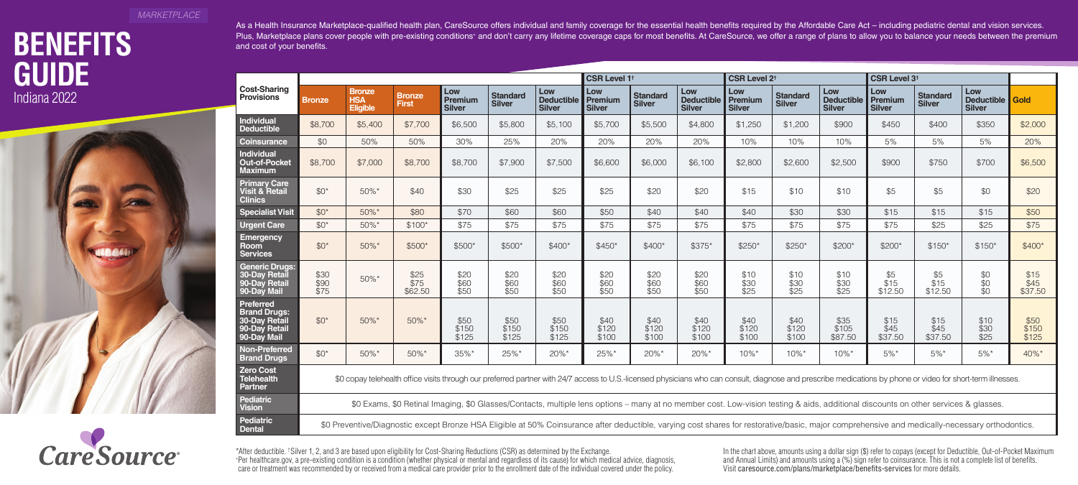### *MARKETPLACE*

# **GUIDE Indiana 2022**





As a Health Insurance Marketplace-qualified health plan, CareSource offers individual and family coverage for the essential health benefits required by the Affordable Care Act - including pediatric dental and vision servic Plus, Marketplace plans cover people with pre-existing conditions\* and don't carry any lifetime coverage caps for most benefits. At CareSource, we offer a range of plans to allow you to balance your needs between the premi

|                                                                                          | <b>CSR Level 1<sup>t</sup></b>                                                                                                                                                                                |                                                                                                                                                                                                |                               |                                 |                                  |                                           |                                        |                                  |                                           | <b>CSR Level 2<sup>t</sup></b>  |                                  |                                           |                                        | CSR Level 3 <sup>t</sup>         |                                         |                         |  |
|------------------------------------------------------------------------------------------|---------------------------------------------------------------------------------------------------------------------------------------------------------------------------------------------------------------|------------------------------------------------------------------------------------------------------------------------------------------------------------------------------------------------|-------------------------------|---------------------------------|----------------------------------|-------------------------------------------|----------------------------------------|----------------------------------|-------------------------------------------|---------------------------------|----------------------------------|-------------------------------------------|----------------------------------------|----------------------------------|-----------------------------------------|-------------------------|--|
| <b>Cost-Sharing</b><br><b>Provisions</b>                                                 | <b>Bronze</b>                                                                                                                                                                                                 | <b>Bronze</b><br><b>HSA</b><br><b>Eligible</b>                                                                                                                                                 | <b>Bronze</b><br><b>First</b> | Low<br>Premium<br><b>Silver</b> | <b>Standard</b><br><b>Silver</b> | Low<br><b>Deductible</b><br><b>Silver</b> | Low<br><b>Premium</b><br><b>Silver</b> | <b>Standard</b><br><b>Silver</b> | Low<br><b>Deductible</b><br><b>Silver</b> | Low<br>Premium<br><b>Silver</b> | <b>Standard</b><br><b>Silver</b> | Low<br><b>Deductible</b><br><b>Silver</b> | Low<br><b>Premium</b><br><b>Silver</b> | <b>Standard</b><br><b>Silver</b> | Low<br>Deductible Gold<br><b>Silver</b> |                         |  |
| Individual<br><b>Deductible</b>                                                          | \$8,700                                                                                                                                                                                                       | \$5,400                                                                                                                                                                                        | \$7,700                       | \$6,500                         | \$5,800                          | \$5,100                                   | \$5,700                                | \$5,500                          | \$4,800                                   | \$1,250                         | \$1,200                          | \$900                                     | \$450                                  | \$400                            | \$350                                   | \$2,000                 |  |
| <b>Coinsurance</b>                                                                       | \$0                                                                                                                                                                                                           | 50%                                                                                                                                                                                            | 50%                           | 30%                             | 25%                              | 20%                                       | 20%                                    | 20%                              | 20%                                       | 10%                             | 10%                              | 10%                                       | 5%                                     | 5%                               | 5%                                      | 20%                     |  |
| <b>Individual</b><br><b>Out-of-Pocket</b><br><b>Maximum</b>                              | \$8,700                                                                                                                                                                                                       | \$7,000                                                                                                                                                                                        | \$8,700                       | \$8,700                         | \$7,900                          | \$7,500                                   | \$6,600                                | \$6,000                          | \$6,100                                   | \$2,800                         | \$2,600                          | \$2,500                                   | \$900                                  | \$750                            | \$700                                   | \$6,500                 |  |
| <b>Primary Care</b><br>Visit & Retail<br><b>Clinics</b>                                  | $$0^{\star}$$                                                                                                                                                                                                 | 50%*                                                                                                                                                                                           | \$40                          | \$30                            | \$25                             | \$25                                      | \$25                                   | \$20                             | \$20                                      | \$15                            | \$10                             | \$10                                      | \$5                                    | \$5                              | \$0                                     | \$20                    |  |
| <b>Specialist Visit</b>                                                                  | $$0^{\star}$$                                                                                                                                                                                                 | 50%*                                                                                                                                                                                           | \$80                          | \$70                            | \$60                             | \$60                                      | \$50                                   | \$40                             | \$40                                      | \$40                            | \$30                             | \$30                                      | \$15                                   | \$15                             | \$15                                    | \$50                    |  |
| Urgent Care                                                                              | $$0^{\star}$$                                                                                                                                                                                                 | 50%*                                                                                                                                                                                           | $$100*$                       | \$75                            | \$75                             | \$75                                      | \$75                                   | \$75                             | \$75                                      | \$75                            | \$75                             | \$75                                      | \$75                                   | \$25                             | \$25                                    | \$75                    |  |
| <b>Emergency</b><br>Room<br><b>Services</b>                                              | $$0^{\star}$$                                                                                                                                                                                                 | 50%*                                                                                                                                                                                           | \$500*                        | $$500*$                         | \$500*                           | \$400*                                    | $$450*$                                | \$400*                           | \$375*                                    | $$250*$                         | $$250*$                          | \$200*                                    | \$200*                                 | $$150*$                          | $$150*$                                 | $$400*$                 |  |
| <b>Generic Drugs:</b><br>30-Day Retail<br>90-Day Retail<br>90-Day Mail                   | \$30<br>\$90<br>\$75                                                                                                                                                                                          | 50%*                                                                                                                                                                                           | \$25<br>\$75<br>\$62.50       | \$20<br>\$60<br>\$50            | \$20<br>\$60<br>\$50             | \$20<br>\$60<br>\$50                      | \$20<br>\$60<br>\$50                   | \$20<br>\$60<br>\$50             | \$20<br>\$60<br>\$50                      | \$10<br>\$30<br>\$25            | \$10<br>\$30<br>\$25             | \$10<br>\$30<br>\$25                      | \$5<br>\$15<br>\$12.50                 | \$5<br>\$15<br>\$12.50           | \$0<br>\$0<br>\$0                       | \$15<br>\$45<br>\$37.50 |  |
| Preferred<br><b>Brand Drugs:</b><br><b>30-Day Retail</b><br>90-Day Retail<br>90-Day Mail | $$0^{\star}$$                                                                                                                                                                                                 | 50%*                                                                                                                                                                                           | 50%*                          | \$50<br>\$150<br>\$125          | \$50<br>\$150<br>\$125           | \$50<br>\$150<br>\$125                    | \$40<br>\$120<br>\$100                 | \$40<br>\$120<br>\$100           | \$40<br>\$120<br>\$100                    | \$40<br>\$120<br>\$100          | \$40<br>\$120<br>\$100           | \$35<br>\$105<br>\$87.50                  | \$15<br>\$45<br>\$37.50                | \$15<br>\$45<br>\$37.50          | \$10<br>\$30<br>\$25                    | \$50<br>\$150<br>\$125  |  |
| Non-Preferred<br><b>Brand Drugs</b>                                                      | $$0^{\star}$$                                                                                                                                                                                                 | 50%*                                                                                                                                                                                           | 50%*                          | 35%*                            | 25%*                             | $20\%$ *                                  | 25%*                                   | $20\%$ *                         | $20\%$ *                                  | $10\%$ *                        | $10\%$ *                         | $10\%$ *                                  | $5\%$ *                                | $5\%$ *                          | $5\%$ *                                 | 40%*                    |  |
| <b>Zero Cost</b><br><b>Telehealth</b><br><b>Partner</b>                                  | \$0 copay telehealth office visits through our preferred partner with 24/7 access to U.S.-licensed physicians who can consult, diagnose and prescribe medications by phone or video for short-term illnesses. |                                                                                                                                                                                                |                               |                                 |                                  |                                           |                                        |                                  |                                           |                                 |                                  |                                           |                                        |                                  |                                         |                         |  |
| <b>Pediatric</b><br><b>Vision</b>                                                        | \$0 Exams, \$0 Retinal Imaging, \$0 Glasses/Contacts, multiple lens options – many at no member cost. Low-vision testing & aids, additional discounts on other services & glasses.                            |                                                                                                                                                                                                |                               |                                 |                                  |                                           |                                        |                                  |                                           |                                 |                                  |                                           |                                        |                                  |                                         |                         |  |
| Pediatric<br><b>Dental</b>                                                               |                                                                                                                                                                                                               | \$0 Preventive/Diagnostic except Bronze HSA Eligible at 50% Coinsurance after deductible, varying cost shares for restorative/basic, major comprehensive and medically-necessary orthodontics. |                               |                                 |                                  |                                           |                                        |                                  |                                           |                                 |                                  |                                           |                                        |                                  |                                         |                         |  |

\*After deductible. † Silver 1, 2, and 3 are based upon eligibility for Cost-Sharing Reductions (CSR) as determined by the Exchange. In the chart above, amounts using a dollar sign (\$) refer to copays (except for Deductible, Out-of-Pocket Maximum + Per [healthcare.gov,](https://healthcare.gov) a pre-existing condition is a condition (whether physical or mental and regardless of its cause) for which medical advice, diagnosis, and Annual Limits) and amounts using a (%) sign refer to coinsurance. This is not a complete list of benefits.

care or treatment was recommended by or received from a medical care provider prior to the enrollment date of the individual covered under the policy. Visit [caresource.com/plans/marketplace/benefits-services](https://caresource.com/plans/marketplace/benefits-services) for more detai